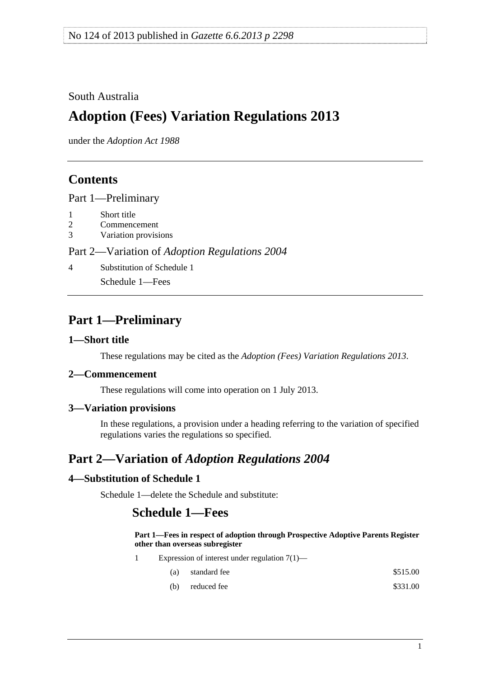### <span id="page-0-0"></span>South Australia

# **Adoption (Fees) Variation Regulations 2013**

under the *Adoption Act 1988*

### **Contents**

[Part 1—Preliminary](#page-0-0)

- [1 Short title](#page-0-0)
- [2 Commencement](#page-0-0)
- [3 Variation provisions](#page-0-0)

Part 2—Variation of *[Adoption Regulations 2004](#page-0-0)*

[4 Substitution of Schedule 1](#page-0-0)

[Schedule 1—Fees](#page-0-0) 

### **Part 1—Preliminary**

#### **1—Short title**

These regulations may be cited as the *Adoption (Fees) Variation Regulations 2013*.

#### **2—Commencement**

These regulations will come into operation on 1 July 2013.

#### **3—Variation provisions**

In these regulations, a provision under a heading referring to the variation of specified regulations varies the regulations so specified.

## **Part 2—Variation of** *Adoption Regulations 2004*

#### **4—Substitution of Schedule 1**

Schedule 1—delete the Schedule and substitute:

### **Schedule 1—Fees**

**Part 1—Fees in respect of adoption through Prospective Adoptive Parents Register other than overseas subregister**

- 1 Expression of interest under regulation 7(1)—
	- (a) standard fee  $\$515.00$
	- (b) reduced fee  $$331.00$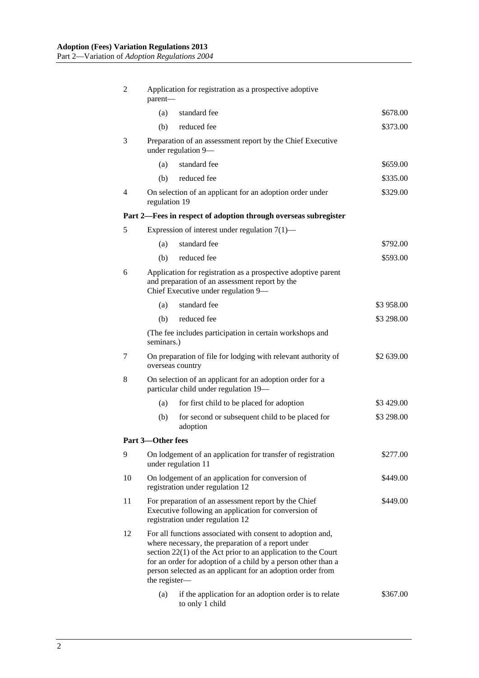| 2  | Application for registration as a prospective adoptive<br>parent-                                                                                                                                                                                                                                                                   |                                                                                    |            |  |
|----|-------------------------------------------------------------------------------------------------------------------------------------------------------------------------------------------------------------------------------------------------------------------------------------------------------------------------------------|------------------------------------------------------------------------------------|------------|--|
|    | (a)                                                                                                                                                                                                                                                                                                                                 | standard fee                                                                       | \$678.00   |  |
|    | (b)                                                                                                                                                                                                                                                                                                                                 | reduced fee                                                                        | \$373.00   |  |
| 3  | Preparation of an assessment report by the Chief Executive<br>under regulation 9-                                                                                                                                                                                                                                                   |                                                                                    |            |  |
|    | (a)                                                                                                                                                                                                                                                                                                                                 | standard fee                                                                       | \$659.00   |  |
|    | (b)                                                                                                                                                                                                                                                                                                                                 | reduced fee                                                                        | \$335.00   |  |
| 4  | On selection of an applicant for an adoption order under<br>\$329.00<br>regulation 19                                                                                                                                                                                                                                               |                                                                                    |            |  |
|    |                                                                                                                                                                                                                                                                                                                                     | Part 2—Fees in respect of adoption through overseas subregister                    |            |  |
| 5  |                                                                                                                                                                                                                                                                                                                                     | Expression of interest under regulation $7(1)$ —                                   |            |  |
|    | (a)                                                                                                                                                                                                                                                                                                                                 | standard fee                                                                       | \$792.00   |  |
|    | (b)                                                                                                                                                                                                                                                                                                                                 | reduced fee                                                                        | \$593.00   |  |
| 6  | Application for registration as a prospective adoptive parent<br>and preparation of an assessment report by the<br>Chief Executive under regulation 9-                                                                                                                                                                              |                                                                                    |            |  |
|    | (a)                                                                                                                                                                                                                                                                                                                                 | standard fee                                                                       | \$3 958.00 |  |
|    | (b)                                                                                                                                                                                                                                                                                                                                 | reduced fee                                                                        | \$3 298.00 |  |
|    | seminars.)                                                                                                                                                                                                                                                                                                                          | (The fee includes participation in certain workshops and                           |            |  |
| 7  | On preparation of file for lodging with relevant authority of<br>\$2 639.00<br>overseas country                                                                                                                                                                                                                                     |                                                                                    |            |  |
| 8  | On selection of an applicant for an adoption order for a<br>particular child under regulation 19-                                                                                                                                                                                                                                   |                                                                                    |            |  |
|    | (a)                                                                                                                                                                                                                                                                                                                                 | for first child to be placed for adoption                                          | \$3 429.00 |  |
|    | (b)                                                                                                                                                                                                                                                                                                                                 | for second or subsequent child to be placed for<br>adoption                        | \$3 298.00 |  |
|    | Part 3-Other fees                                                                                                                                                                                                                                                                                                                   |                                                                                    |            |  |
| 9  |                                                                                                                                                                                                                                                                                                                                     | On lodgement of an application for transfer of registration<br>under regulation 11 | \$277.00   |  |
| 10 | On lodgement of an application for conversion of<br>registration under regulation 12                                                                                                                                                                                                                                                |                                                                                    | \$449.00   |  |
| 11 | For preparation of an assessment report by the Chief<br>\$449.00<br>Executive following an application for conversion of<br>registration under regulation 12                                                                                                                                                                        |                                                                                    |            |  |
| 12 | For all functions associated with consent to adoption and,<br>where necessary, the preparation of a report under<br>section $22(1)$ of the Act prior to an application to the Court<br>for an order for adoption of a child by a person other than a<br>person selected as an applicant for an adoption order from<br>the register- |                                                                                    |            |  |
|    | (a)                                                                                                                                                                                                                                                                                                                                 | if the application for an adoption order is to relate<br>to only 1 child           | \$367.00   |  |